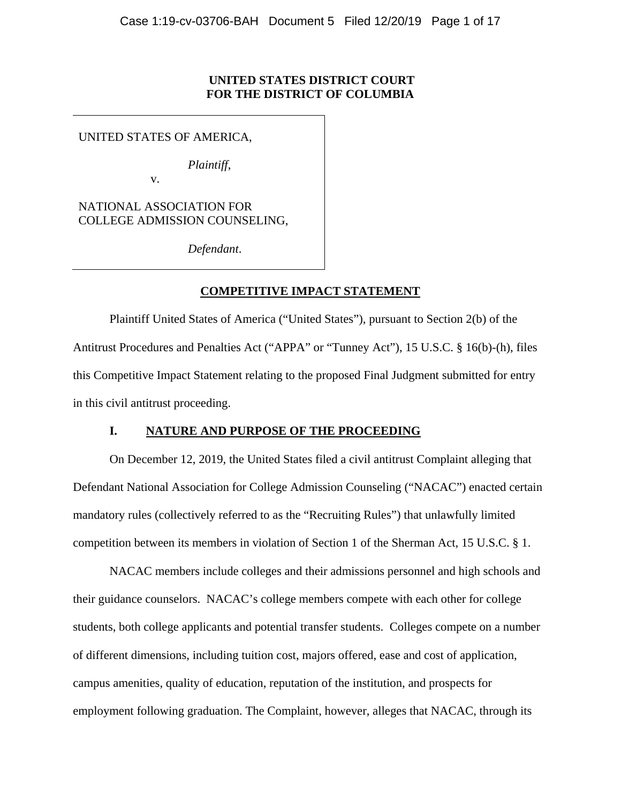# **UNITED STATES DISTRICT COURT FOR THE DISTRICT OF COLUMBIA**

UNITED STATES OF AMERICA,

*Plaintiff*,

v.

NATIONAL ASSOCIATION FOR COLLEGE ADMISSION COUNSELING,

*Defendant*.

# **COMPETITIVE IMPACT STATEMENT**

Plaintiff United States of America ("United States"), pursuant to Section 2(b) of the Antitrust Procedures and Penalties Act ("APPA" or "Tunney Act"), 15 U.S.C. § 16(b)-(h), files this Competitive Impact Statement relating to the proposed Final Judgment submitted for entry in this civil antitrust proceeding.

# **I. NATURE AND PURPOSE OF THE PROCEEDING**

On December 12, 2019, the United States filed a civil antitrust Complaint alleging that Defendant National Association for College Admission Counseling ("NACAC") enacted certain mandatory rules (collectively referred to as the "Recruiting Rules") that unlawfully limited competition between its members in violation of Section 1 of the Sherman Act, 15 U.S.C. § 1.

NACAC members include colleges and their admissions personnel and high schools and their guidance counselors. NACAC's college members compete with each other for college students, both college applicants and potential transfer students. Colleges compete on a number of different dimensions, including tuition cost, majors offered, ease and cost of application, campus amenities, quality of education, reputation of the institution, and prospects for employment following graduation. The Complaint, however, alleges that NACAC, through its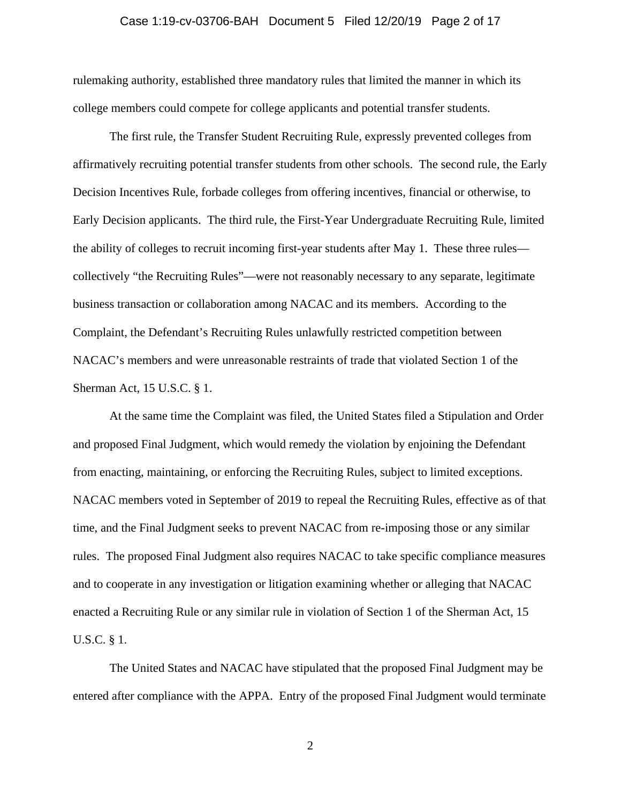### Case 1:19-cv-03706-BAH Document 5 Filed 12/20/19 Page 2 of 17

rulemaking authority, established three mandatory rules that limited the manner in which its college members could compete for college applicants and potential transfer students.

The first rule, the Transfer Student Recruiting Rule, expressly prevented colleges from affirmatively recruiting potential transfer students from other schools. The second rule, the Early Decision Incentives Rule, forbade colleges from offering incentives, financial or otherwise, to Early Decision applicants. The third rule, the First-Year Undergraduate Recruiting Rule, limited the ability of colleges to recruit incoming first-year students after May 1. These three rules collectively "the Recruiting Rules"—were not reasonably necessary to any separate, legitimate business transaction or collaboration among NACAC and its members. According to the Complaint, the Defendant's Recruiting Rules unlawfully restricted competition between NACAC's members and were unreasonable restraints of trade that violated Section 1 of the Sherman Act, 15 U.S.C. § 1.

At the same time the Complaint was filed, the United States filed a Stipulation and Order and proposed Final Judgment, which would remedy the violation by enjoining the Defendant from enacting, maintaining, or enforcing the Recruiting Rules, subject to limited exceptions. NACAC members voted in September of 2019 to repeal the Recruiting Rules, effective as of that time, and the Final Judgment seeks to prevent NACAC from re-imposing those or any similar rules. The proposed Final Judgment also requires NACAC to take specific compliance measures and to cooperate in any investigation or litigation examining whether or alleging that NACAC enacted a Recruiting Rule or any similar rule in violation of Section 1 of the Sherman Act, 15 U.S.C. § 1.

The United States and NACAC have stipulated that the proposed Final Judgment may be entered after compliance with the APPA. Entry of the proposed Final Judgment would terminate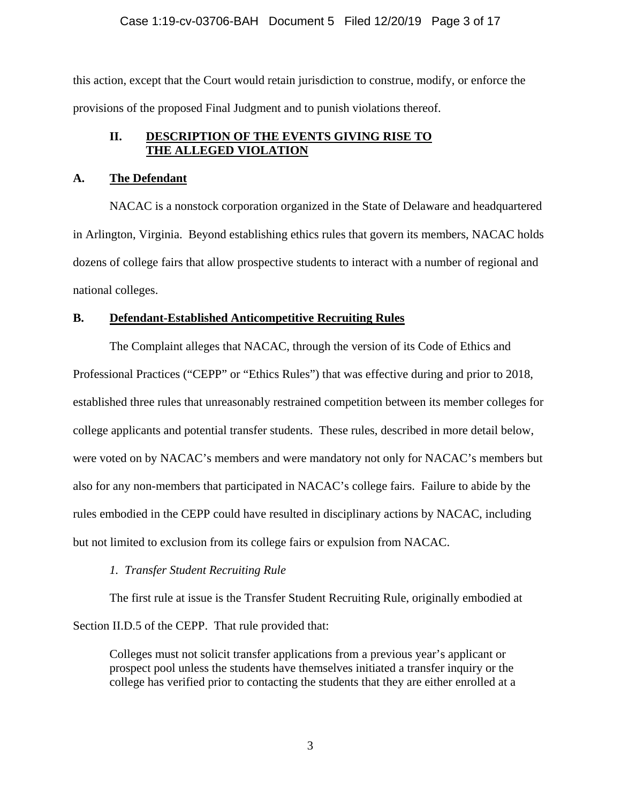## Case 1:19-cv-03706-BAH Document 5 Filed 12/20/19 Page 3 of 17

this action, except that the Court would retain jurisdiction to construe, modify, or enforce the provisions of the proposed Final Judgment and to punish violations thereof.

## **II. DESCRIPTION OF THE EVENTS GIVING RISE TO THE ALLEGED VIOLATION**

## **A. The Defendant**

NACAC is a nonstock corporation organized in the State of Delaware and headquartered in Arlington, Virginia. Beyond establishing ethics rules that govern its members, NACAC holds dozens of college fairs that allow prospective students to interact with a number of regional and national colleges.

## **B. Defendant-Established Anticompetitive Recruiting Rules**

The Complaint alleges that NACAC, through the version of its Code of Ethics and Professional Practices ("CEPP" or "Ethics Rules") that was effective during and prior to 2018, established three rules that unreasonably restrained competition between its member colleges for college applicants and potential transfer students. These rules, described in more detail below, were voted on by NACAC's members and were mandatory not only for NACAC's members but also for any non-members that participated in NACAC's college fairs. Failure to abide by the rules embodied in the CEPP could have resulted in disciplinary actions by NACAC, including but not limited to exclusion from its college fairs or expulsion from NACAC.

## *1. Transfer Student Recruiting Rule*

The first rule at issue is the Transfer Student Recruiting Rule, originally embodied at Section II.D.5 of the CEPP. That rule provided that:

Colleges must not solicit transfer applications from a previous year's applicant or prospect pool unless the students have themselves initiated a transfer inquiry or the college has verified prior to contacting the students that they are either enrolled at a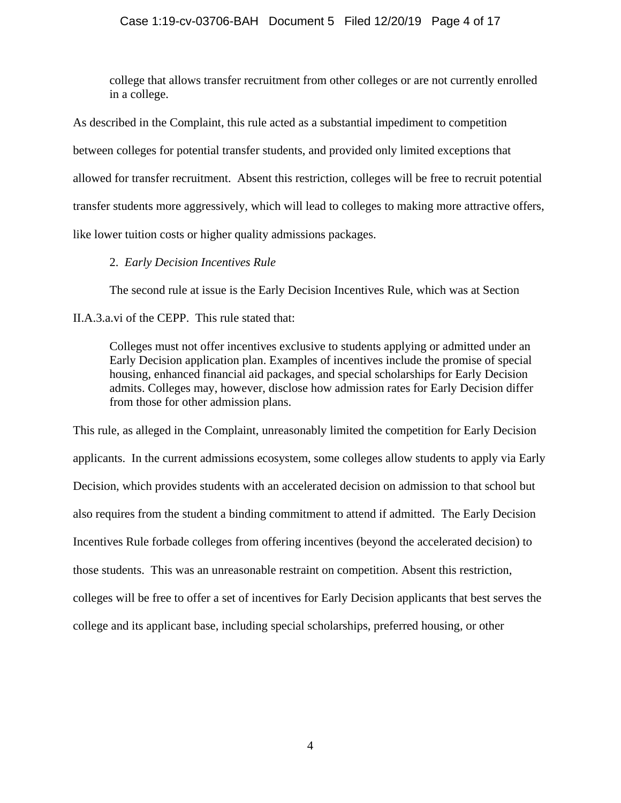## Case 1:19-cv-03706-BAH Document 5 Filed 12/20/19 Page 4 of 17

college that allows transfer recruitment from other colleges or are not currently enrolled in a college.

 like lower tuition costs or higher quality admissions packages. As described in the Complaint, this rule acted as a substantial impediment to competition between colleges for potential transfer students, and provided only limited exceptions that allowed for transfer recruitment. Absent this restriction, colleges will be free to recruit potential transfer students more aggressively, which will lead to colleges to making more attractive offers,

# 2. *Early Decision Incentives Rule*

The second rule at issue is the Early Decision Incentives Rule, which was at Section

[II.A.3.a.vi](https://II.A.3.a.vi) of the CEPP. This rule stated that:

Colleges must not offer incentives exclusive to students applying or admitted under an Early Decision application plan. Examples of incentives include the promise of special housing, enhanced financial aid packages, and special scholarships for Early Decision admits. Colleges may, however, disclose how admission rates for Early Decision differ from those for other admission plans.

This rule, as alleged in the Complaint, unreasonably limited the competition for Early Decision applicants. In the current admissions ecosystem, some colleges allow students to apply via Early Decision, which provides students with an accelerated decision on admission to that school but also requires from the student a binding commitment to attend if admitted. The Early Decision Incentives Rule forbade colleges from offering incentives (beyond the accelerated decision) to those students. This was an unreasonable restraint on competition. Absent this restriction, colleges will be free to offer a set of incentives for Early Decision applicants that best serves the college and its applicant base, including special scholarships, preferred housing, or other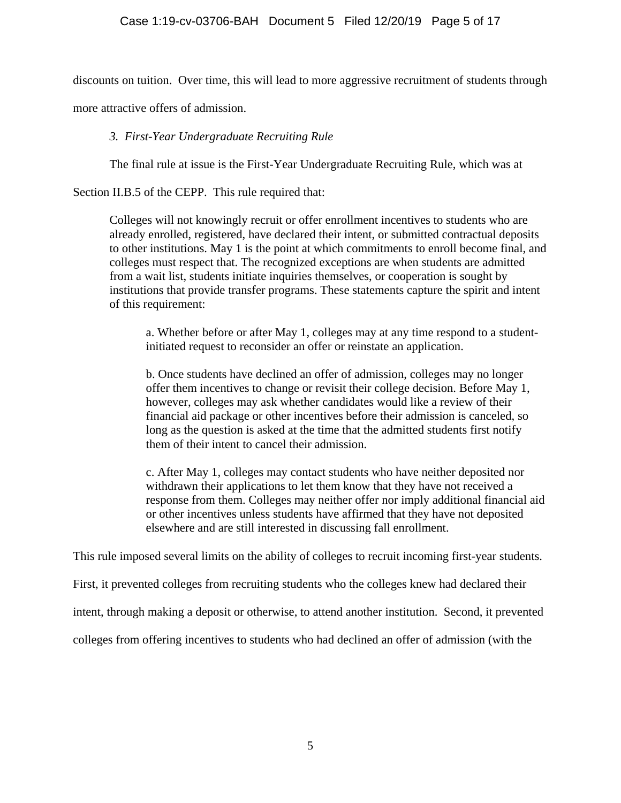discounts on tuition. Over time, this will lead to more aggressive recruitment of students through

more attractive offers of admission.

# *3. First-Year Undergraduate Recruiting Rule*

The final rule at issue is the First-Year Undergraduate Recruiting Rule, which was at

Section II.B.5 of the CEPP. This rule required that:

Colleges will not knowingly recruit or offer enrollment incentives to students who are already enrolled, registered, have declared their intent, or submitted contractual deposits to other institutions. May 1 is the point at which commitments to enroll become final, and colleges must respect that. The recognized exceptions are when students are admitted from a wait list, students initiate inquiries themselves, or cooperation is sought by institutions that provide transfer programs. These statements capture the spirit and intent of this requirement:

a. Whether before or after May 1, colleges may at any time respond to a studentinitiated request to reconsider an offer or reinstate an application.

b. Once students have declined an offer of admission, colleges may no longer offer them incentives to change or revisit their college decision. Before May 1, however, colleges may ask whether candidates would like a review of their financial aid package or other incentives before their admission is canceled, so long as the question is asked at the time that the admitted students first notify them of their intent to cancel their admission.

c. After May 1, colleges may contact students who have neither deposited nor withdrawn their applications to let them know that they have not received a response from them. Colleges may neither offer nor imply additional financial aid or other incentives unless students have affirmed that they have not deposited elsewhere and are still interested in discussing fall enrollment.

This rule imposed several limits on the ability of colleges to recruit incoming first-year students.

First, it prevented colleges from recruiting students who the colleges knew had declared their

intent, through making a deposit or otherwise, to attend another institution. Second, it prevented

colleges from offering incentives to students who had declined an offer of admission (with the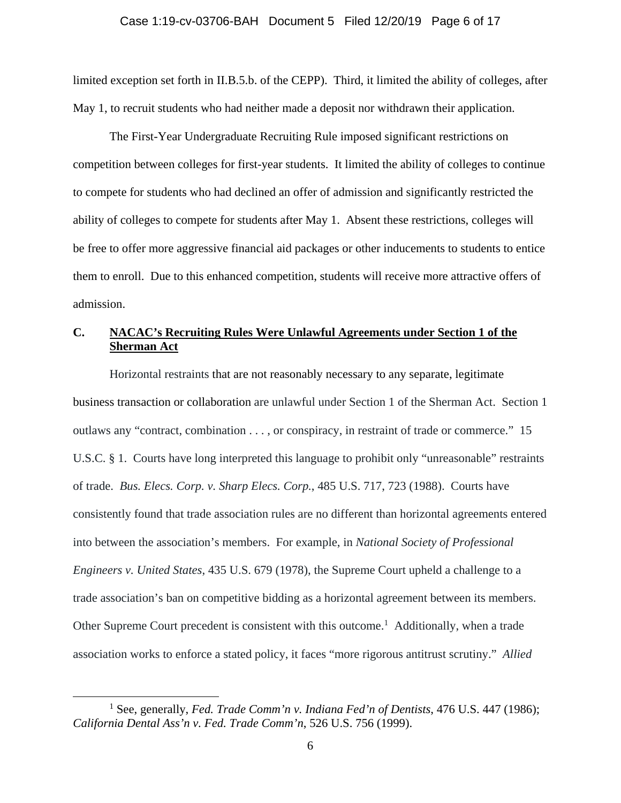### Case 1:19-cv-03706-BAH Document 5 Filed 12/20/19 Page 6 of 17

limited exception set forth in II.B.5.b. of the CEPP). Third, it limited the ability of colleges, after May 1, to recruit students who had neither made a deposit nor withdrawn their application.

The First-Year Undergraduate Recruiting Rule imposed significant restrictions on competition between colleges for first-year students. It limited the ability of colleges to continue to compete for students who had declined an offer of admission and significantly restricted the ability of colleges to compete for students after May 1. Absent these restrictions, colleges will be free to offer more aggressive financial aid packages or other inducements to students to entice them to enroll. Due to this enhanced competition, students will receive more attractive offers of admission.

# **C. NACAC's Recruiting Rules Were Unlawful Agreements under Section 1 of the Sherman Act**

Horizontal restraints that are not reasonably necessary to any separate, legitimate business transaction or collaboration are unlawful under Section 1 of the Sherman Act. Section 1 outlaws any "contract, combination . . . , or conspiracy, in restraint of trade or commerce." 15 U.S.C. § 1. Courts have long interpreted this language to prohibit only "unreasonable" restraints of trade. *Bus. Elecs. Corp. v. Sharp Elecs. Corp.*, 485 U.S. 717, 723 (1988). Courts have consistently found that trade association rules are no different than horizontal agreements entered into between the association's members. For example, in *National Society of Professional Engineers v. United States*, 435 U.S. 679 (1978), the Supreme Court upheld a challenge to a trade association's ban on competitive bidding as a horizontal agreement between its members. Other Supreme Court precedent is consistent with this outcome.<sup>1</sup> Additionally, when a trade association works to enforce a stated policy, it faces "more rigorous antitrust scrutiny." *Allied* 

 $\overline{a}$ 

<sup>&</sup>lt;sup>1</sup> See, generally, *Fed. Trade Comm'n v. Indiana Fed'n of Dentists*, 476 U.S. 447 (1986); *California Dental Ass'n v. Fed. Trade Comm'n*, 526 U.S. 756 (1999).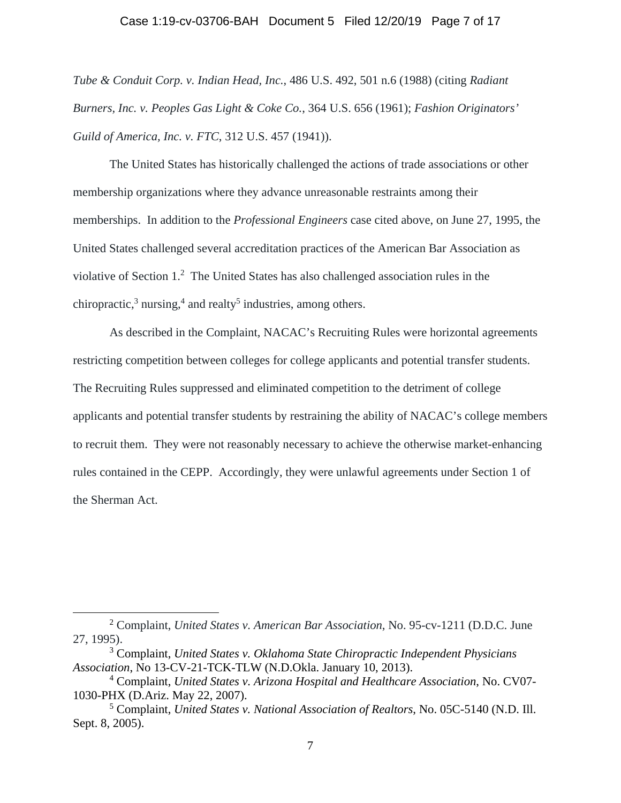### Case 1:19-cv-03706-BAH Document 5 Filed 12/20/19 Page 7 of 17

*Tube & Conduit Corp. v. Indian Head, Inc.*, 486 U.S. 492, 501 n.6 (1988) (citing *Radiant Burners, Inc. v. Peoples Gas Light & Coke Co.*, 364 U.S. 656 (1961); *Fashion Originators' Guild of America, Inc. v. FTC*, 312 U.S. 457 (1941)).

The United States has historically challenged the actions of trade associations or other membership organizations where they advance unreasonable restraints among their memberships. In addition to the *Professional Engineers* case cited above, on June 27, 1995, the United States challenged several accreditation practices of the American Bar Association as violative of Section 1.<sup>2</sup> The United States has also challenged association rules in the chiropractic, $3$  nursing, $4$  and realty<sup>5</sup> industries, among others.

As described in the Complaint, NACAC's Recruiting Rules were horizontal agreements restricting competition between colleges for college applicants and potential transfer students. The Recruiting Rules suppressed and eliminated competition to the detriment of college applicants and potential transfer students by restraining the ability of NACAC's college members to recruit them. They were not reasonably necessary to achieve the otherwise market-enhancing rules contained in the CEPP. Accordingly, they were unlawful agreements under Section 1 of the Sherman Act.

 $\overline{a}$ 

<sup>2</sup> Complaint, *United States v. American Bar Association*, No. 95-cv-1211 (D.D.C. June 27, 1995).

<sup>3</sup> Complaint, *United States v. Oklahoma State Chiropractic Independent Physicians Association*, No 13-CV-21-TCK-TLW (N.D.Okla. January 10, 2013).

<sup>4</sup> Complaint, *United States v. Arizona Hospital and Healthcare Association*, No. CV07- 1030-PHX (D.Ariz. May 22, 2007).

<sup>5</sup> Complaint, *United States v. National Association of Realtors*, No. 05C-5140 (N.D. Ill. Sept. 8, 2005).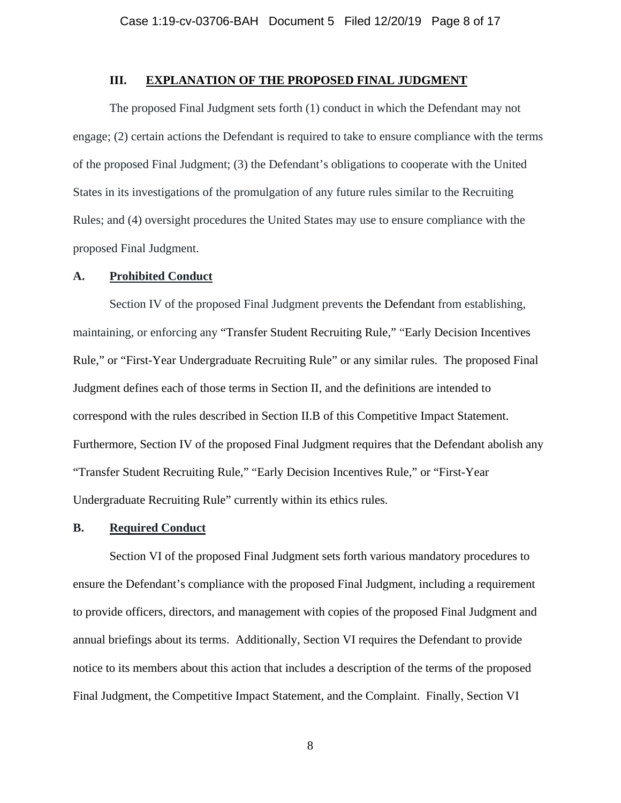## **III. EXPLANATION OF THE PROPOSED FINAL JUDGMENT**

The proposed Final Judgment sets forth (1) conduct in which the Defendant may not engage; (2) certain actions the Defendant is required to take to ensure compliance with the terms of the proposed Final Judgment; (3) the Defendant's obligations to cooperate with the United States in its investigations of the promulgation of any future rules similar to the Recruiting Rules; and (4) oversight procedures the United States may use to ensure compliance with the proposed Final Judgment.

### **A. Prohibited Conduct**

Section IV of the proposed Final Judgment prevents the Defendant from establishing, maintaining, or enforcing any "Transfer Student Recruiting Rule," "Early Decision Incentives Rule," or "First-Year Undergraduate Recruiting Rule" or any similar rules. The proposed Final Judgment defines each of those terms in Section II, and the definitions are intended to correspond with the rules described in Section II.B of this Competitive Impact Statement. Furthermore, Section IV of the proposed Final Judgment requires that the Defendant abolish any "Transfer Student Recruiting Rule," "Early Decision Incentives Rule," or "First-Year Undergraduate Recruiting Rule" currently within its ethics rules.

### **B. Required Conduct**

Section VI of the proposed Final Judgment sets forth various mandatory procedures to ensure the Defendant's compliance with the proposed Final Judgment, including a requirement to provide officers, directors, and management with copies of the proposed Final Judgment and annual briefings about its terms. Additionally, Section VI requires the Defendant to provide notice to its members about this action that includes a description of the terms of the proposed Final Judgment, the Competitive Impact Statement, and the Complaint. Finally, Section VI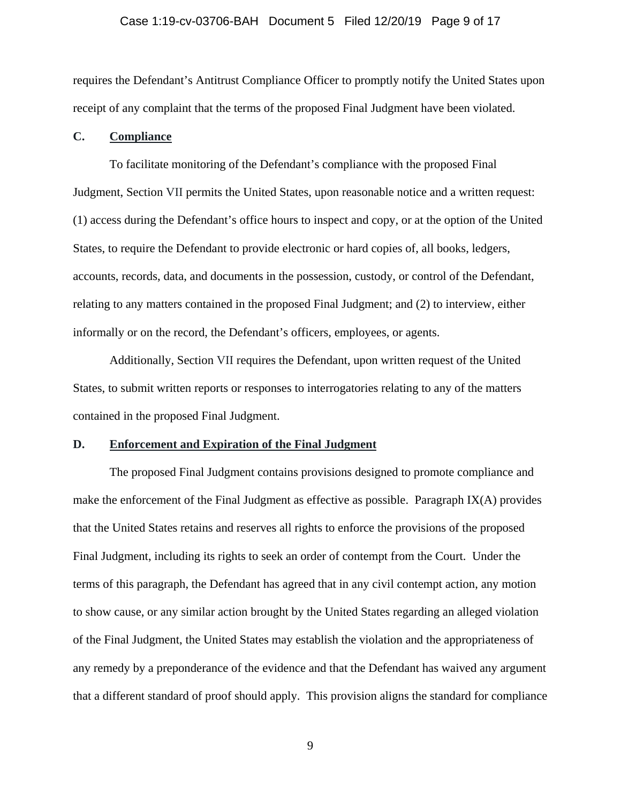#### Case 1:19-cv-03706-BAH Document 5 Filed 12/20/19 Page 9 of 17

requires the Defendant's Antitrust Compliance Officer to promptly notify the United States upon receipt of any complaint that the terms of the proposed Final Judgment have been violated.

### **C. Compliance**

To facilitate monitoring of the Defendant's compliance with the proposed Final Judgment, Section VII permits the United States, upon reasonable notice and a written request: (1) access during the Defendant's office hours to inspect and copy, or at the option of the United States, to require the Defendant to provide electronic or hard copies of, all books, ledgers, accounts, records, data, and documents in the possession, custody, or control of the Defendant, relating to any matters contained in the proposed Final Judgment; and (2) to interview, either informally or on the record, the Defendant's officers, employees, or agents.

Additionally, Section VII requires the Defendant, upon written request of the United States, to submit written reports or responses to interrogatories relating to any of the matters contained in the proposed Final Judgment.

### **D. Enforcement and Expiration of the Final Judgment**

The proposed Final Judgment contains provisions designed to promote compliance and make the enforcement of the Final Judgment as effective as possible. Paragraph  $IX(A)$  provides that the United States retains and reserves all rights to enforce the provisions of the proposed Final Judgment, including its rights to seek an order of contempt from the Court. Under the terms of this paragraph, the Defendant has agreed that in any civil contempt action, any motion to show cause, or any similar action brought by the United States regarding an alleged violation of the Final Judgment, the United States may establish the violation and the appropriateness of any remedy by a preponderance of the evidence and that the Defendant has waived any argument that a different standard of proof should apply. This provision aligns the standard for compliance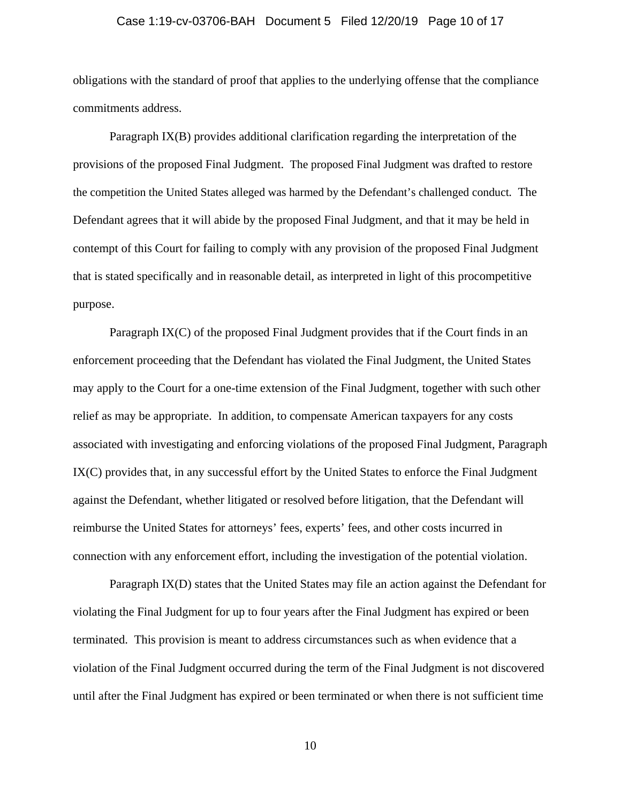### Case 1:19-cv-03706-BAH Document 5 Filed 12/20/19 Page 10 of 17

obligations with the standard of proof that applies to the underlying offense that the compliance commitments address.

Paragraph IX(B) provides additional clarification regarding the interpretation of the provisions of the proposed Final Judgment. The proposed Final Judgment was drafted to restore the competition the United States alleged was harmed by the Defendant's challenged conduct. The Defendant agrees that it will abide by the proposed Final Judgment, and that it may be held in contempt of this Court for failing to comply with any provision of the proposed Final Judgment that is stated specifically and in reasonable detail, as interpreted in light of this procompetitive purpose.

Paragraph IX(C) of the proposed Final Judgment provides that if the Court finds in an enforcement proceeding that the Defendant has violated the Final Judgment, the United States may apply to the Court for a one-time extension of the Final Judgment, together with such other relief as may be appropriate. In addition, to compensate American taxpayers for any costs associated with investigating and enforcing violations of the proposed Final Judgment, Paragraph IX(C) provides that, in any successful effort by the United States to enforce the Final Judgment against the Defendant, whether litigated or resolved before litigation, that the Defendant will reimburse the United States for attorneys' fees, experts' fees, and other costs incurred in connection with any enforcement effort, including the investigation of the potential violation.

Paragraph IX(D) states that the United States may file an action against the Defendant for violating the Final Judgment for up to four years after the Final Judgment has expired or been terminated. This provision is meant to address circumstances such as when evidence that a violation of the Final Judgment occurred during the term of the Final Judgment is not discovered until after the Final Judgment has expired or been terminated or when there is not sufficient time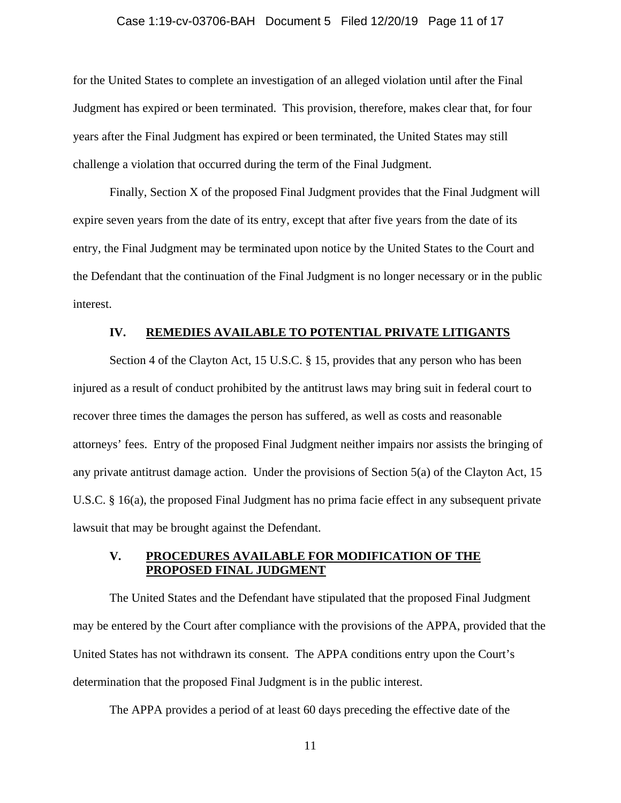#### Case 1:19-cv-03706-BAH Document 5 Filed 12/20/19 Page 11 of 17

for the United States to complete an investigation of an alleged violation until after the Final Judgment has expired or been terminated. This provision, therefore, makes clear that, for four years after the Final Judgment has expired or been terminated, the United States may still challenge a violation that occurred during the term of the Final Judgment.

Finally, Section X of the proposed Final Judgment provides that the Final Judgment will expire seven years from the date of its entry, except that after five years from the date of its entry, the Final Judgment may be terminated upon notice by the United States to the Court and the Defendant that the continuation of the Final Judgment is no longer necessary or in the public interest.

### **IV. REMEDIES AVAILABLE TO POTENTIAL PRIVATE LITIGANTS**

Section 4 of the Clayton Act, 15 U.S.C. § 15, provides that any person who has been injured as a result of conduct prohibited by the antitrust laws may bring suit in federal court to recover three times the damages the person has suffered, as well as costs and reasonable attorneys' fees. Entry of the proposed Final Judgment neither impairs nor assists the bringing of any private antitrust damage action. Under the provisions of Section 5(a) of the Clayton Act, 15 U.S.C. § 16(a), the proposed Final Judgment has no prima facie effect in any subsequent private lawsuit that may be brought against the Defendant.

## **V. PROCEDURES AVAILABLE FOR MODIFICATION OF THE PROPOSED FINAL JUDGMENT**

The United States and the Defendant have stipulated that the proposed Final Judgment may be entered by the Court after compliance with the provisions of the APPA, provided that the United States has not withdrawn its consent. The APPA conditions entry upon the Court's determination that the proposed Final Judgment is in the public interest.

The APPA provides a period of at least 60 days preceding the effective date of the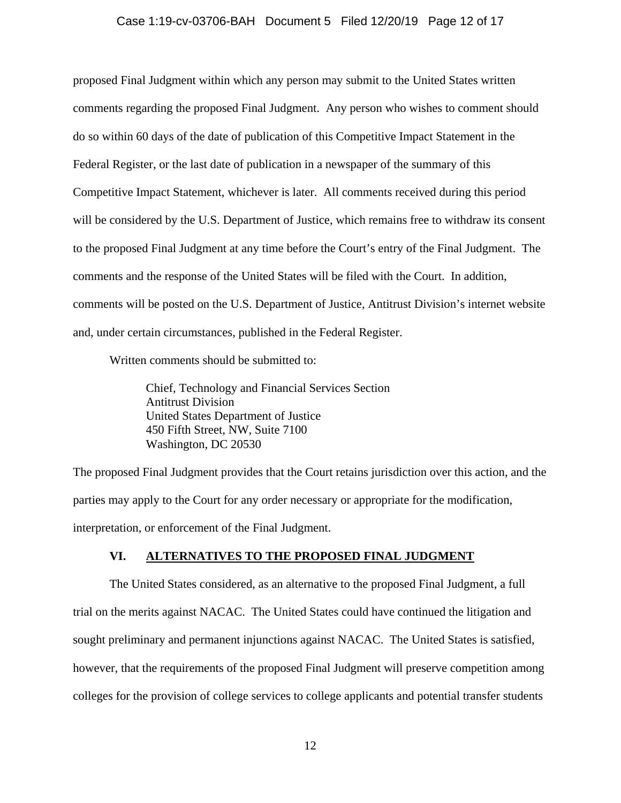## Case 1:19-cv-03706-BAH Document 5 Filed 12/20/19 Page 12 of 17

proposed Final Judgment within which any person may submit to the United States written comments regarding the proposed Final Judgment. Any person who wishes to comment should do so within 60 days of the date of publication of this Competitive Impact Statement in the Federal Register, or the last date of publication in a newspaper of the summary of this Competitive Impact Statement, whichever is later. All comments received during this period will be considered by the U.S. Department of Justice, which remains free to withdraw its consent to the proposed Final Judgment at any time before the Court's entry of the Final Judgment. The comments and the response of the United States will be filed with the Court. In addition, comments will be posted on the U.S. Department of Justice, Antitrust Division's internet website and, under certain circumstances, published in the Federal Register.

Written comments should be submitted to:

 Chief, Technology and Financial Services Section Antitrust Division United States Department of Justice 450 Fifth Street, NW, Suite 7100 Washington, DC 20530

The proposed Final Judgment provides that the Court retains jurisdiction over this action, and the parties may apply to the Court for any order necessary or appropriate for the modification, interpretation, or enforcement of the Final Judgment.

## **VI. ALTERNATIVES TO THE PROPOSED FINAL JUDGMENT**

The United States considered, as an alternative to the proposed Final Judgment, a full trial on the merits against NACAC. The United States could have continued the litigation and sought preliminary and permanent injunctions against NACAC. The United States is satisfied, however, that the requirements of the proposed Final Judgment will preserve competition among colleges for the provision of college services to college applicants and potential transfer students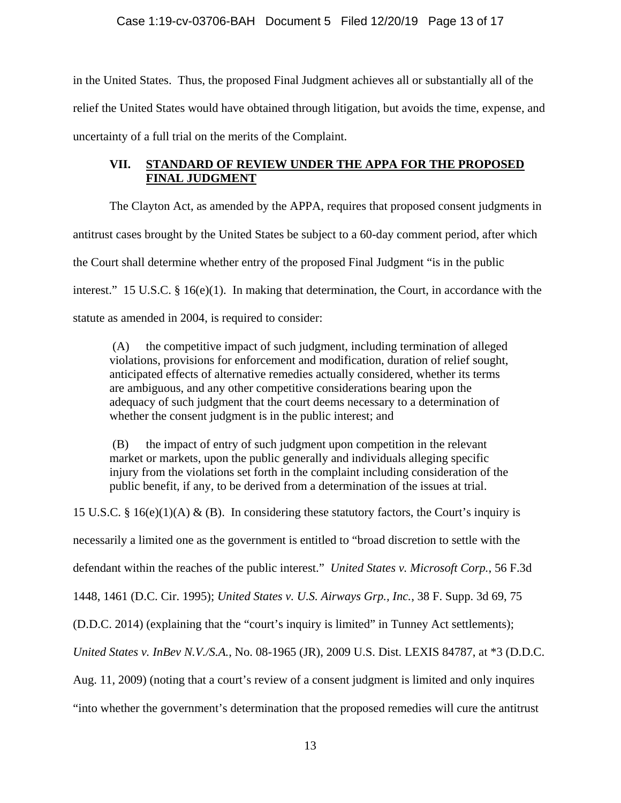in the United States. Thus, the proposed Final Judgment achieves all or substantially all of the relief the United States would have obtained through litigation, but avoids the time, expense, and uncertainty of a full trial on the merits of the Complaint.

# **VII. STANDARD OF REVIEW UNDER THE APPA FOR THE PROPOSED FINAL JUDGMENT**

The Clayton Act, as amended by the APPA, requires that proposed consent judgments in antitrust cases brought by the United States be subject to a 60-day comment period, after which the Court shall determine whether entry of the proposed Final Judgment "is in the public interest." 15 U.S.C. § 16(e)(1). In making that determination, the Court, in accordance with the statute as amended in 2004, is required to consider:

 whether the consent judgment is in the public interest; and (A) the competitive impact of such judgment, including termination of alleged violations, provisions for enforcement and modification, duration of relief sought, anticipated effects of alternative remedies actually considered, whether its terms are ambiguous, and any other competitive considerations bearing upon the adequacy of such judgment that the court deems necessary to a determination of

 (B) the impact of entry of such judgment upon competition in the relevant market or markets, upon the public generally and individuals alleging specific injury from the violations set forth in the complaint including consideration of the public benefit, if any, to be derived from a determination of the issues at trial.

15 U.S.C. § 16(e)(1)(A) & (B). In considering these statutory factors, the Court's inquiry is necessarily a limited one as the government is entitled to "broad discretion to settle with the defendant within the reaches of the public interest." *United States v. Microsoft Corp.*, 56 F.3d 1448, 1461 (D.C. Cir. 1995); *United States v. U.S. Airways Grp., Inc.*, 38 F. Supp. 3d 69, 75 (D.D.C. 2014) (explaining that the "court's inquiry is limited" in Tunney Act settlements); *United States v. InBev N.V./S.A.*, No. 08-1965 (JR), 2009 U.S. Dist. LEXIS 84787, at \*3 (D.D.C. Aug. 11, 2009) (noting that a court's review of a consent judgment is limited and only inquires "into whether the government's determination that the proposed remedies will cure the antitrust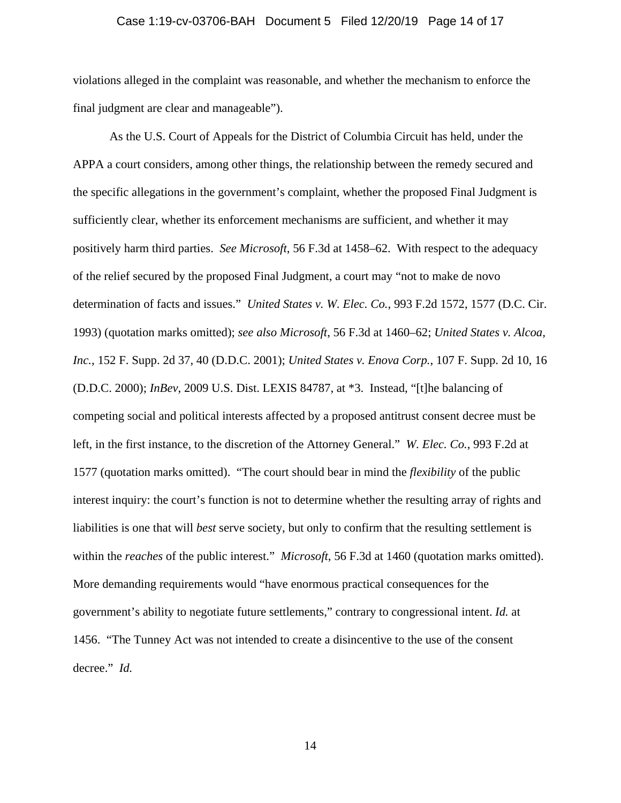### Case 1:19-cv-03706-BAH Document 5 Filed 12/20/19 Page 14 of 17

violations alleged in the complaint was reasonable, and whether the mechanism to enforce the final judgment are clear and manageable").

As the U.S. Court of Appeals for the District of Columbia Circuit has held, under the APPA a court considers, among other things, the relationship between the remedy secured and the specific allegations in the government's complaint, whether the proposed Final Judgment is sufficiently clear, whether its enforcement mechanisms are sufficient, and whether it may positively harm third parties. *See Microsoft*, 56 F.3d at 1458–62. With respect to the adequacy of the relief secured by the proposed Final Judgment, a court may "not to make de novo determination of facts and issues." *United States v. W. Elec. Co.*, 993 F.2d 1572, 1577 (D.C. Cir. 1993) (quotation marks omitted); *see also Microsoft*, 56 F.3d at 1460–62; *United States v. Alcoa, Inc.*, 152 F. Supp. 2d 37, 40 (D.D.C. 2001); *United States v. Enova Corp.*, 107 F. Supp. 2d 10, 16 (D.D.C. 2000); *InBev*, 2009 U.S. Dist. LEXIS 84787, at \*3. Instead, "[t]he balancing of competing social and political interests affected by a proposed antitrust consent decree must be left, in the first instance, to the discretion of the Attorney General." *W. Elec. Co.*, 993 F.2d at 1577 (quotation marks omitted). "The court should bear in mind the *flexibility* of the public interest inquiry: the court's function is not to determine whether the resulting array of rights and liabilities is one that will *best* serve society, but only to confirm that the resulting settlement is within the *reaches* of the public interest." *Microsoft*, 56 F.3d at 1460 (quotation marks omitted). More demanding requirements would "have enormous practical consequences for the government's ability to negotiate future settlements," contrary to congressional intent. *Id.* at 1456. "The Tunney Act was not intended to create a disincentive to the use of the consent decree." *Id.*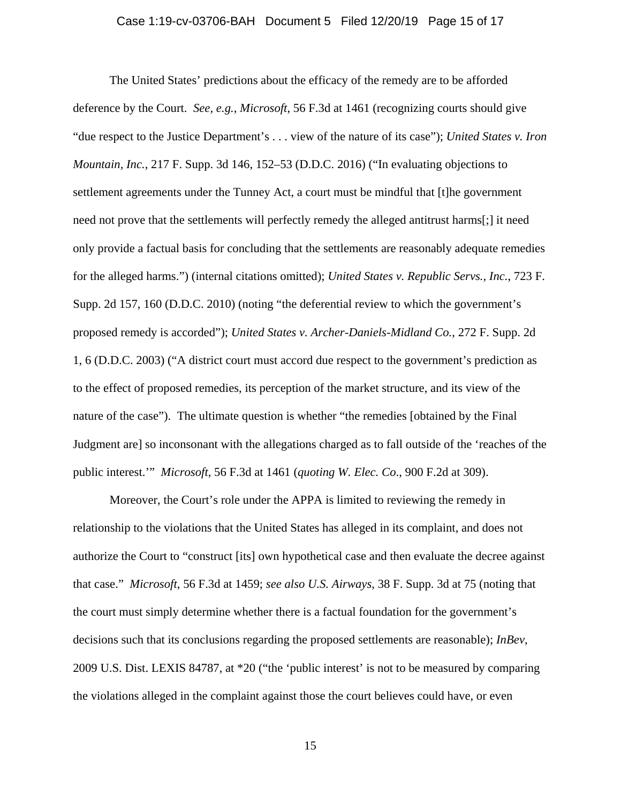### Case 1:19-cv-03706-BAH Document 5 Filed 12/20/19 Page 15 of 17

The United States' predictions about the efficacy of the remedy are to be afforded deference by the Court. *See, e.g.*, *Microsoft*, 56 F.3d at 1461 (recognizing courts should give "due respect to the Justice Department's . . . view of the nature of its case"); *United States v. Iron Mountain, Inc.*, 217 F. Supp. 3d 146, 152–53 (D.D.C. 2016) ("In evaluating objections to settlement agreements under the Tunney Act, a court must be mindful that [t]he government need not prove that the settlements will perfectly remedy the alleged antitrust harms[;] it need only provide a factual basis for concluding that the settlements are reasonably adequate remedies for the alleged harms.") (internal citations omitted); *United States v. Republic Servs., Inc.*, 723 F. Supp. 2d 157, 160 (D.D.C. 2010) (noting "the deferential review to which the government's proposed remedy is accorded"); *United States v. Archer-Daniels-Midland Co.*, 272 F. Supp. 2d 1, 6 (D.D.C. 2003) ("A district court must accord due respect to the government's prediction as to the effect of proposed remedies, its perception of the market structure, and its view of the nature of the case"). The ultimate question is whether "the remedies [obtained by the Final Judgment are] so inconsonant with the allegations charged as to fall outside of the 'reaches of the public interest.'" *Microsoft*, 56 F.3d at 1461 (*quoting W. Elec. Co*., 900 F.2d at 309).

Moreover, the Court's role under the APPA is limited to reviewing the remedy in relationship to the violations that the United States has alleged in its complaint, and does not authorize the Court to "construct [its] own hypothetical case and then evaluate the decree against that case." *Microsoft*, 56 F.3d at 1459; *see also U.S. Airways*, 38 F. Supp. 3d at 75 (noting that the court must simply determine whether there is a factual foundation for the government's decisions such that its conclusions regarding the proposed settlements are reasonable); *InBev*, 2009 U.S. Dist. LEXIS 84787, at \*20 ("the 'public interest' is not to be measured by comparing the violations alleged in the complaint against those the court believes could have, or even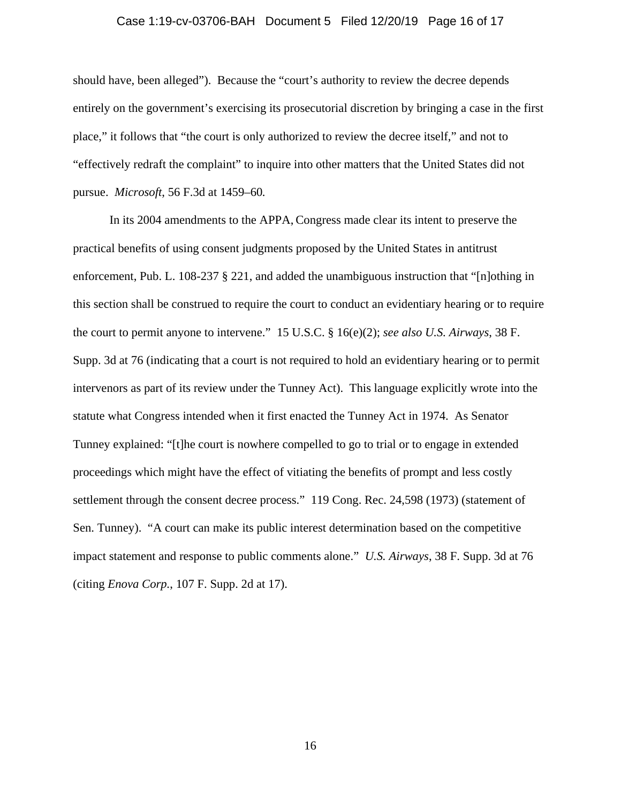#### Case 1:19-cv-03706-BAH Document 5 Filed 12/20/19 Page 16 of 17

should have, been alleged"). Because the "court's authority to review the decree depends entirely on the government's exercising its prosecutorial discretion by bringing a case in the first place," it follows that "the court is only authorized to review the decree itself," and not to "effectively redraft the complaint" to inquire into other matters that the United States did not pursue. *Microsoft*, 56 F.3d at 1459–60*.* 

In its 2004 amendments to the APPA, Congress made clear its intent to preserve the practical benefits of using consent judgments proposed by the United States in antitrust enforcement, Pub. L. 108-237 § 221, and added the unambiguous instruction that "[n]othing in this section shall be construed to require the court to conduct an evidentiary hearing or to require the court to permit anyone to intervene." 15 U.S.C. § 16(e)(2); *see also U.S. Airways*, 38 F. Supp. 3d at 76 (indicating that a court is not required to hold an evidentiary hearing or to permit intervenors as part of its review under the Tunney Act). This language explicitly wrote into the statute what Congress intended when it first enacted the Tunney Act in 1974. As Senator Tunney explained: "[t]he court is nowhere compelled to go to trial or to engage in extended proceedings which might have the effect of vitiating the benefits of prompt and less costly settlement through the consent decree process." 119 Cong. Rec. 24,598 (1973) (statement of Sen. Tunney). "A court can make its public interest determination based on the competitive impact statement and response to public comments alone." *U.S. Airways*, 38 F. Supp. 3d at 76 (citing *Enova Corp.*, 107 F. Supp. 2d at 17).